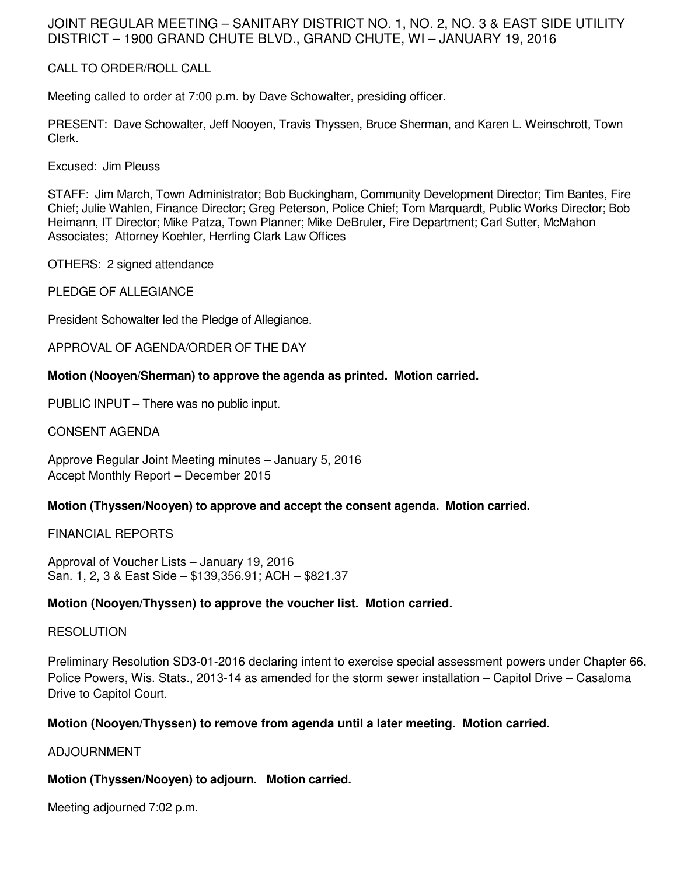## JOINT REGULAR MEETING – SANITARY DISTRICT NO. 1, NO. 2, NO. 3 & EAST SIDE UTILITY DISTRICT – 1900 GRAND CHUTE BLVD., GRAND CHUTE, WI – JANUARY 19, 2016

## CALL TO ORDER/ROLL CALL

Meeting called to order at 7:00 p.m. by Dave Schowalter, presiding officer.

PRESENT: Dave Schowalter, Jeff Nooyen, Travis Thyssen, Bruce Sherman, and Karen L. Weinschrott, Town Clerk.

Excused: Jim Pleuss

STAFF: Jim March, Town Administrator; Bob Buckingham, Community Development Director; Tim Bantes, Fire Chief; Julie Wahlen, Finance Director; Greg Peterson, Police Chief; Tom Marquardt, Public Works Director; Bob Heimann, IT Director; Mike Patza, Town Planner; Mike DeBruler, Fire Department; Carl Sutter, McMahon Associates; Attorney Koehler, Herrling Clark Law Offices

OTHERS: 2 signed attendance

PLEDGE OF ALLEGIANCE

President Schowalter led the Pledge of Allegiance.

APPROVAL OF AGENDA/ORDER OF THE DAY

### **Motion (Nooyen/Sherman) to approve the agenda as printed. Motion carried.**

PUBLIC INPUT – There was no public input.

CONSENT AGENDA

Approve Regular Joint Meeting minutes – January 5, 2016 Accept Monthly Report – December 2015

## **Motion (Thyssen/Nooyen) to approve and accept the consent agenda. Motion carried.**

FINANCIAL REPORTS

Approval of Voucher Lists – January 19, 2016 San. 1, 2, 3 & East Side – \$139,356.91; ACH – \$821.37

#### **Motion (Nooyen/Thyssen) to approve the voucher list. Motion carried.**

#### **RESOLUTION**

Preliminary Resolution SD3-01-2016 declaring intent to exercise special assessment powers under Chapter 66, Police Powers, Wis. Stats., 2013-14 as amended for the storm sewer installation – Capitol Drive – Casaloma Drive to Capitol Court.

## **Motion (Nooyen/Thyssen) to remove from agenda until a later meeting. Motion carried.**

ADJOURNMENT

## **Motion (Thyssen/Nooyen) to adjourn. Motion carried.**

Meeting adjourned 7:02 p.m.